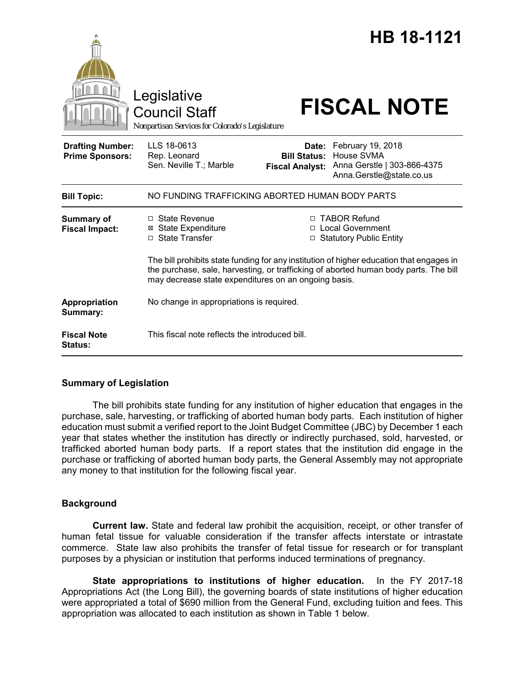|                                                   | Legislative<br><b>Council Staff</b><br>Nonpartisan Services for Colorado's Legislature                                                                                                                                                   |                                                        | HB 18-1121<br><b>FISCAL NOTE</b>                                                           |
|---------------------------------------------------|------------------------------------------------------------------------------------------------------------------------------------------------------------------------------------------------------------------------------------------|--------------------------------------------------------|--------------------------------------------------------------------------------------------|
| <b>Drafting Number:</b><br><b>Prime Sponsors:</b> | LLS 18-0613<br>Rep. Leonard<br>Sen. Neville T.; Marble                                                                                                                                                                                   | Date:<br><b>Bill Status:</b><br><b>Fiscal Analyst:</b> | February 19, 2018<br>House SVMA<br>Anna Gerstle   303-866-4375<br>Anna.Gerstle@state.co.us |
| <b>Bill Topic:</b>                                | NO FUNDING TRAFFICKING ABORTED HUMAN BODY PARTS                                                                                                                                                                                          |                                                        |                                                                                            |
| <b>Summary of</b><br><b>Fiscal Impact:</b>        | $\Box$ State Revenue<br><b>State Expenditure</b><br>□ State Transfer                                                                                                                                                                     | $\Box$                                                 | <b>TABOR Refund</b><br>□ Local Government<br>$\Box$ Statutory Public Entity                |
|                                                   | The bill prohibits state funding for any institution of higher education that engages in<br>the purchase, sale, harvesting, or trafficking of aborted human body parts. The bill<br>may decrease state expenditures on an ongoing basis. |                                                        |                                                                                            |
| <b>Appropriation</b><br>Summary:                  | No change in appropriations is required.                                                                                                                                                                                                 |                                                        |                                                                                            |
| <b>Fiscal Note</b><br><b>Status:</b>              | This fiscal note reflects the introduced bill.                                                                                                                                                                                           |                                                        |                                                                                            |

# **Summary of Legislation**

The bill prohibits state funding for any institution of higher education that engages in the purchase, sale, harvesting, or trafficking of aborted human body parts. Each institution of higher education must submit a verified report to the Joint Budget Committee (JBC) by December 1 each year that states whether the institution has directly or indirectly purchased, sold, harvested, or trafficked aborted human body parts. If a report states that the institution did engage in the purchase or trafficking of aborted human body parts, the General Assembly may not appropriate any money to that institution for the following fiscal year.

# **Background**

**Current law.** State and federal law prohibit the acquisition, receipt, or other transfer of human fetal tissue for valuable consideration if the transfer affects interstate or intrastate commerce. State law also prohibits the transfer of fetal tissue for research or for transplant purposes by a physician or institution that performs induced terminations of pregnancy.

**State appropriations to institutions of higher education.** In the FY 2017-18 Appropriations Act (the Long Bill), the governing boards of state institutions of higher education were appropriated a total of \$690 million from the General Fund, excluding tuition and fees. This appropriation was allocated to each institution as shown in Table 1 below.